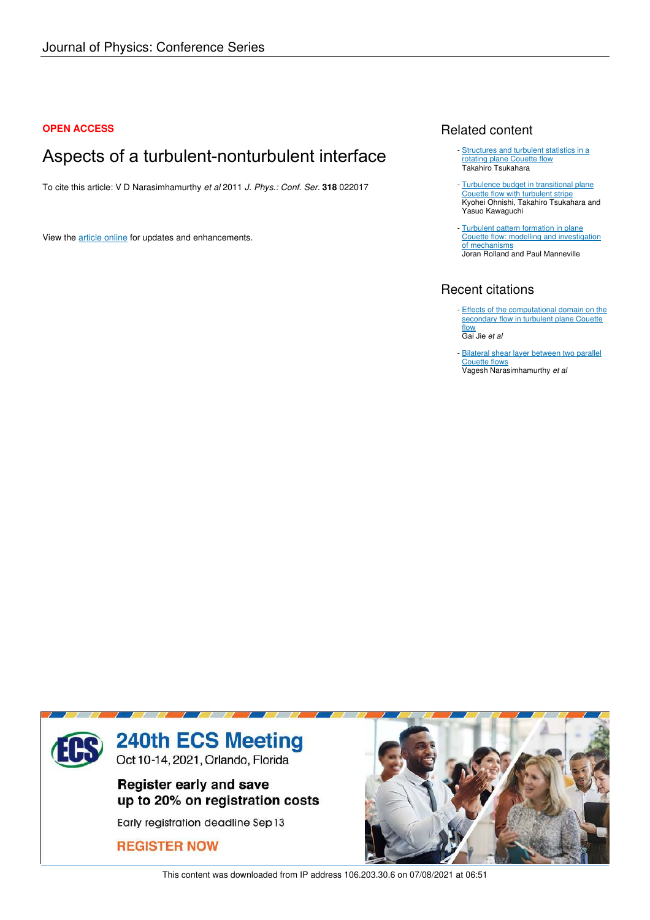#### **OPEN ACCESS**

# Aspects of a turbulent-nonturbulent interface

To cite this article: V D Narasimhamurthy *et al* 2011 *J. Phys.: Conf. Ser.* **318** 022017

View the article online for updates and enhancements.

# Related content

- Structures and turbulent statistics in a rotating plane Couette flow Takahiro Tsukahara
- Turbulence budget in transitional plane Couette flow with turbulent stripe Kyohei Ohnishi, Takahiro Tsukahara and Yasuo Kawaguchi
- Turbulent pattern formation in plane Couette flow: modelling and investigation of mechanisms Joran Rolland and Paul Manneville

# Recent citations

- **Effects of the computational domain on the** secondary flow in turbulent plane Couette flow Gai Jie *et al*
- Bilateral shear layer between two parallel Couette flows Vagesh Narasimhamurthy *et al*



This content was downloaded from IP address 106.203.30.6 on 07/08/2021 at 06:51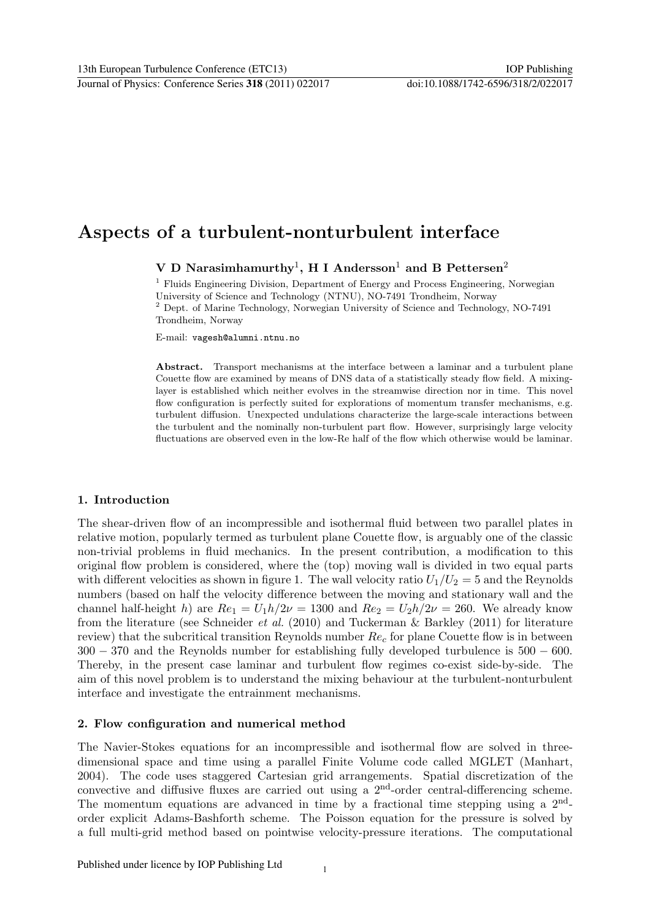# Aspects of a turbulent-nonturbulent interface

V D Narasimhamurthy<sup>1</sup>, H I Andersson<sup>1</sup> and B Pettersen<sup>2</sup>

<sup>1</sup> Fluids Engineering Division, Department of Energy and Process Engineering, Norwegian University of Science and Technology (NTNU), NO-7491 Trondheim, Norway <sup>2</sup> Dept. of Marine Technology, Norwegian University of Science and Technology, NO-7491 Trondheim, Norway

E-mail: vagesh@alumni.ntnu.no

Abstract. Transport mechanisms at the interface between a laminar and a turbulent plane Couette flow are examined by means of DNS data of a statistically steady flow field. A mixinglayer is established which neither evolves in the streamwise direction nor in time. This novel flow configuration is perfectly suited for explorations of momentum transfer mechanisms, e.g. turbulent diffusion. Unexpected undulations characterize the large-scale interactions between the turbulent and the nominally non-turbulent part flow. However, surprisingly large velocity fluctuations are observed even in the low-Re half of the flow which otherwise would be laminar.

## 1. Introduction

The shear-driven flow of an incompressible and isothermal fluid between two parallel plates in relative motion, popularly termed as turbulent plane Couette flow, is arguably one of the classic non-trivial problems in fluid mechanics. In the present contribution, a modification to this original flow problem is considered, where the (top) moving wall is divided in two equal parts with different velocities as shown in figure 1. The wall velocity ratio  $U_1/U_2 = 5$  and the Reynolds numbers (based on half the velocity difference between the moving and stationary wall and the channel half-height h) are  $Re_1 = U_1 h/2\nu = 1300$  and  $Re_2 = U_2 h/2\nu = 260$ . We already know from the literature (see Schneider et al. (2010) and Tuckerman & Barkley (2011) for literature review) that the subcritical transition Reynolds number  $Re<sub>c</sub>$  for plane Couette flow is in between 300 − 370 and the Reynolds number for establishing fully developed turbulence is 500 − 600. Thereby, in the present case laminar and turbulent flow regimes co-exist side-by-side. The aim of this novel problem is to understand the mixing behaviour at the turbulent-nonturbulent interface and investigate the entrainment mechanisms.

#### 2. Flow configuration and numerical method

The Navier-Stokes equations for an incompressible and isothermal flow are solved in threedimensional space and time using a parallel Finite Volume code called MGLET (Manhart, 2004). The code uses staggered Cartesian grid arrangements. Spatial discretization of the convective and diffusive fluxes are carried out using a 2<sup>nd</sup>-order central-differencing scheme. The momentum equations are advanced in time by a fractional time stepping using a  $2<sup>nd</sup>$ order explicit Adams-Bashforth scheme. The Poisson equation for the pressure is solved by a full multi-grid method based on pointwise velocity-pressure iterations. The computational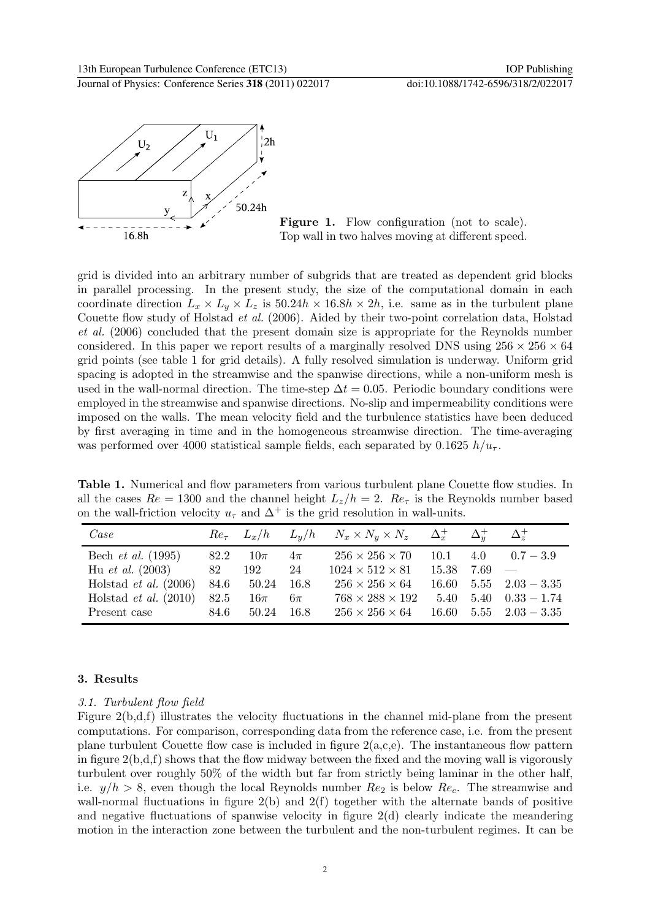



Figure 1. Flow configuration (not to scale). Top wall in two halves moving at different speed.

grid is divided into an arbitrary number of subgrids that are treated as dependent grid blocks in parallel processing. In the present study, the size of the computational domain in each coordinate direction  $L_x \times L_y \times L_z$  is 50.24h  $\times$  16.8h  $\times$  2h, i.e. same as in the turbulent plane Couette flow study of Holstad et al. (2006). Aided by their two-point correlation data, Holstad et al. (2006) concluded that the present domain size is appropriate for the Reynolds number considered. In this paper we report results of a marginally resolved DNS using  $256 \times 256 \times 64$ grid points (see table 1 for grid details). A fully resolved simulation is underway. Uniform grid spacing is adopted in the streamwise and the spanwise directions, while a non-uniform mesh is used in the wall-normal direction. The time-step  $\Delta t = 0.05$ . Periodic boundary conditions were employed in the streamwise and spanwise directions. No-slip and impermeability conditions were imposed on the walls. The mean velocity field and the turbulence statistics have been deduced by first averaging in time and in the homogeneous streamwise direction. The time-averaging was performed over 4000 statistical sample fields, each separated by 0.1625  $h/u<sub>\tau</sub>$ .

Table 1. Numerical and flow parameters from various turbulent plane Couette flow studies. In all the cases  $Re = 1300$  and the channel height  $L_z/h = 2$ .  $Re_\tau$  is the Reynolds number based on the wall-friction velocity  $u_{\tau}$  and  $\Delta^{+}$  is the grid resolution in wall-units.

| Case                           |      |         |        | $Re_\tau L_x/h = L_y/h = N_x \times N_y \times N_z = \Delta_x^+ = \Delta_y^+$ |       |      | $\Delta_z^+$             |
|--------------------------------|------|---------|--------|-------------------------------------------------------------------------------|-------|------|--------------------------|
| Bech <i>et al.</i> $(1995)$    | 82.2 | $10\pi$ | $4\pi$ | $256 \times 256 \times 70$                                                    | 10.1  |      | $4.0 \t 0.7 - 3.9$       |
| Hu <i>et al.</i> $(2003)$      | 82   | 192     | 24     | $1024 \times 512 \times 81$                                                   | 15.38 | 7.69 | $\overline{\phantom{a}}$ |
| Holstad <i>et al.</i> $(2006)$ | 84.6 | 50.24   | -16.8  | $256 \times 256 \times 64$                                                    | 16.60 |      | $5.55 \quad 2.03 - 3.35$ |
| Holstad <i>et al.</i> $(2010)$ | 82.5 | $16\pi$ | $6\pi$ | $768 \times 288 \times 192$                                                   | 5.40  |      | $5.40 \quad 0.33 - 1.74$ |
| Present case                   | 84.6 | 50.24   | -16.8  | $256 \times 256 \times 64$                                                    | 16.60 |      | $5.55 \quad 2.03 - 3.35$ |

## 3. Results

#### 3.1. Turbulent flow field

Figure 2(b,d,f) illustrates the velocity fluctuations in the channel mid-plane from the present computations. For comparison, corresponding data from the reference case, i.e. from the present plane turbulent Couette flow case is included in figure  $2(a,c,e)$ . The instantaneous flow pattern in figure  $2(b,d,f)$  shows that the flow midway between the fixed and the moving wall is vigorously turbulent over roughly 50% of the width but far from strictly being laminar in the other half, i.e.  $y/h > 8$ , even though the local Reynolds number  $Re_2$  is below  $Re_c$ . The streamwise and wall-normal fluctuations in figure  $2(b)$  and  $2(f)$  together with the alternate bands of positive and negative fluctuations of spanwise velocity in figure  $2(d)$  clearly indicate the meandering motion in the interaction zone between the turbulent and the non-turbulent regimes. It can be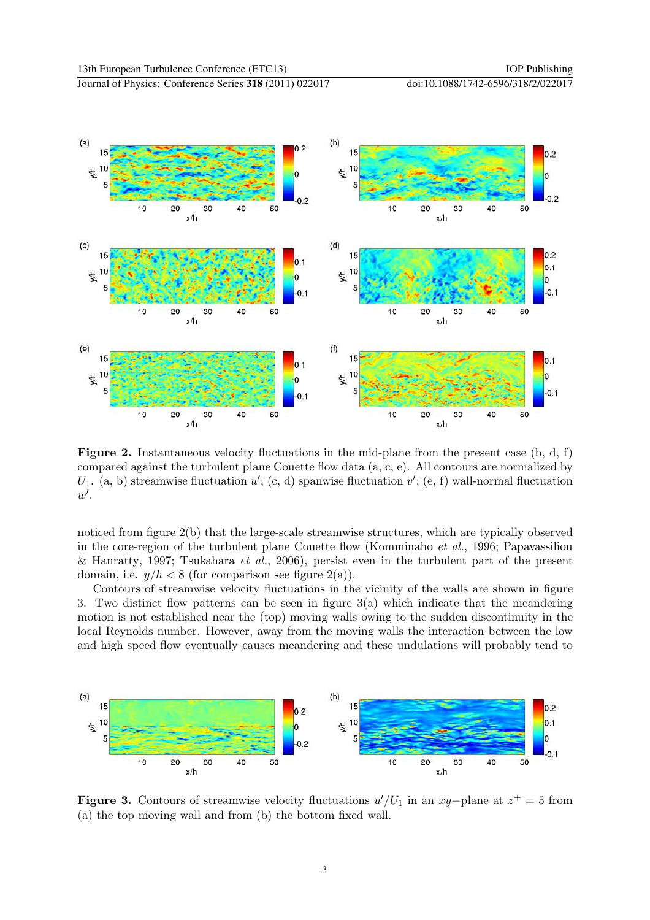Journal of Physics: Conference Series **318** (2011) 022017 doi:10.1088/1742-6596/318/2/022017





**Figure 2.** Instantaneous velocity fluctuations in the mid-plane from the present case  $(b, d, f)$ compared against the turbulent plane Couette flow data (a, c, e). All contours are normalized by  $U_1$ . (a, b) streamwise fluctuation u'; (c, d) spanwise fluctuation v'; (e, f) wall-normal fluctuation  $\overline{w'}$ .

noticed from figure 2(b) that the large-scale streamwise structures, which are typically observed in the core-region of the turbulent plane Couette flow (Komminaho et al., 1996; Papavassiliou & Hanratty, 1997; Tsukahara *et al.*, 2006), persist even in the turbulent part of the present domain, i.e.  $y/h < 8$  (for comparison see figure 2(a)).

Contours of streamwise velocity fluctuations in the vicinity of the walls are shown in figure 3. Two distinct flow patterns can be seen in figure 3(a) which indicate that the meandering motion is not established near the (top) moving walls owing to the sudden discontinuity in the local Reynolds number. However, away from the moving walls the interaction between the low and high speed flow eventually causes meandering and these undulations will probably tend to



**Figure 3.** Contours of streamwise velocity fluctuations  $u'/U_1$  in an xy-plane at  $z^+ = 5$  from (a) the top moving wall and from (b) the bottom fixed wall.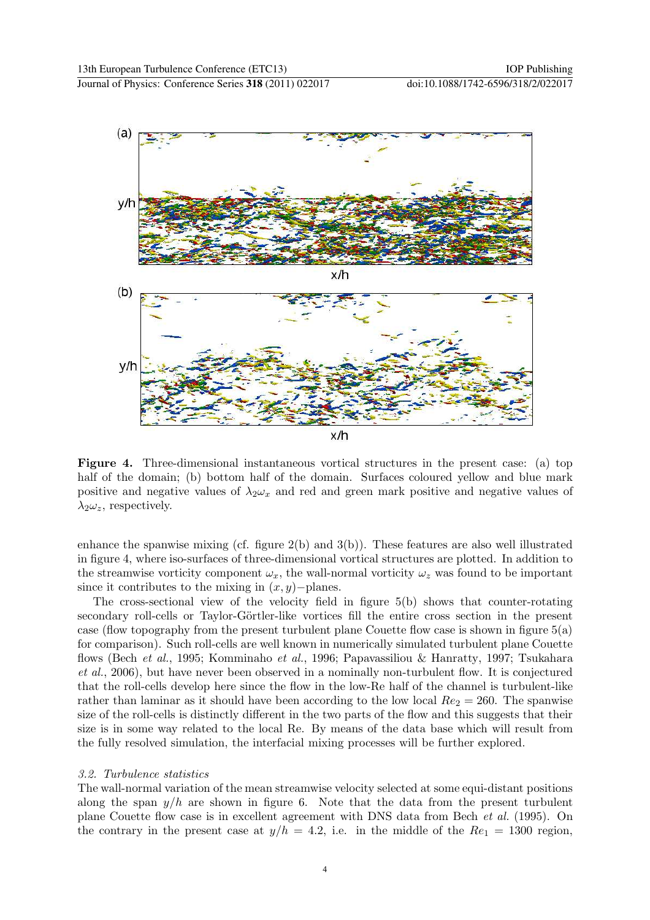

Figure 4. Three-dimensional instantaneous vortical structures in the present case: (a) top half of the domain; (b) bottom half of the domain. Surfaces coloured yellow and blue mark positive and negative values of  $\lambda_2 \omega_x$  and red and green mark positive and negative values of  $\lambda_2\omega_z$ , respectively.

enhance the spanwise mixing (cf. figure  $2(b)$  and  $3(b)$ ). These features are also well illustrated in figure 4, where iso-surfaces of three-dimensional vortical structures are plotted. In addition to the streamwise vorticity component  $\omega_x$ , the wall-normal vorticity  $\omega_z$  was found to be important since it contributes to the mixing in  $(x, y)$ −planes.

The cross-sectional view of the velocity field in figure 5(b) shows that counter-rotating secondary roll-cells or Taylor-Görtler-like vortices fill the entire cross section in the present case (flow topography from the present turbulent plane Couette flow case is shown in figure  $5(a)$ ) for comparison). Such roll-cells are well known in numerically simulated turbulent plane Couette flows (Bech et al., 1995; Komminaho et al., 1996; Papavassiliou & Hanratty, 1997; Tsukahara et al., 2006), but have never been observed in a nominally non-turbulent flow. It is conjectured that the roll-cells develop here since the flow in the low-Re half of the channel is turbulent-like rather than laminar as it should have been according to the low local  $Re_2 = 260$ . The spanwise size of the roll-cells is distinctly different in the two parts of the flow and this suggests that their size is in some way related to the local Re. By means of the data base which will result from the fully resolved simulation, the interfacial mixing processes will be further explored.

#### 3.2. Turbulence statistics

The wall-normal variation of the mean streamwise velocity selected at some equi-distant positions along the span  $y/h$  are shown in figure 6. Note that the data from the present turbulent plane Couette flow case is in excellent agreement with DNS data from Bech et al. (1995). On the contrary in the present case at  $y/h = 4.2$ , i.e. in the middle of the  $Re_1 = 1300$  region,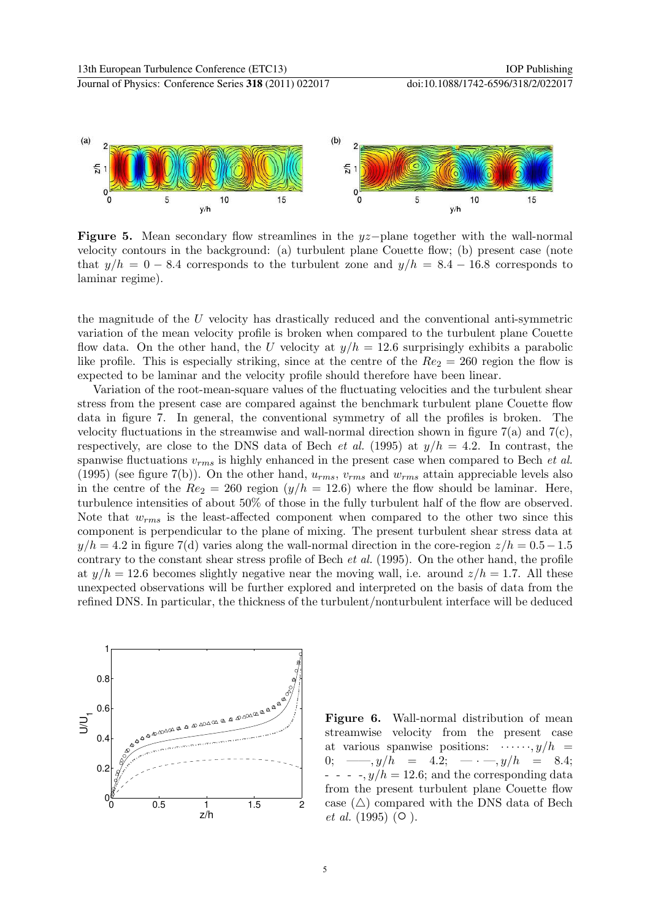

Figure 5. Mean secondary flow streamlines in the  $yz$ -plane together with the wall-normal velocity contours in the background: (a) turbulent plane Couette flow; (b) present case (note that  $y/h = 0 - 8.4$  corresponds to the turbulent zone and  $y/h = 8.4 - 16.8$  corresponds to laminar regime).

the magnitude of the U velocity has drastically reduced and the conventional anti-symmetric variation of the mean velocity profile is broken when compared to the turbulent plane Couette flow data. On the other hand, the U velocity at  $y/h = 12.6$  surprisingly exhibits a parabolic like profile. This is especially striking, since at the centre of the  $Re_2 = 260$  region the flow is expected to be laminar and the velocity profile should therefore have been linear.

Variation of the root-mean-square values of the fluctuating velocities and the turbulent shear stress from the present case are compared against the benchmark turbulent plane Couette flow data in figure 7. In general, the conventional symmetry of all the profiles is broken. The velocity fluctuations in the streamwise and wall-normal direction shown in figure  $7(a)$  and  $7(c)$ , respectively, are close to the DNS data of Bech et al. (1995) at  $y/h = 4.2$ . In contrast, the spanwise fluctuations  $v_{rms}$  is highly enhanced in the present case when compared to Bech *et al.* (1995) (see figure 7(b)). On the other hand,  $u_{rms}$ ,  $v_{rms}$  and  $w_{rms}$  attain appreciable levels also in the centre of the  $Re_2 = 260$  region  $(y/h = 12.6)$  where the flow should be laminar. Here, turbulence intensities of about 50% of those in the fully turbulent half of the flow are observed. Note that  $w_{rms}$  is the least-affected component when compared to the other two since this component is perpendicular to the plane of mixing. The present turbulent shear stress data at  $y/h = 4.2$  in figure 7(d) varies along the wall-normal direction in the core-region  $z/h = 0.5-1.5$ contrary to the constant shear stress profile of Bech *et al.* (1995). On the other hand, the profile at  $y/h = 12.6$  becomes slightly negative near the moving wall, i.e. around  $z/h = 1.7$ . All these unexpected observations will be further explored and interpreted on the basis of data from the refined DNS. In particular, the thickness of the turbulent/nonturbulent interface will be deduced



Figure 6. Wall-normal distribution of mean streamwise velocity from the present case at various spanwise positions:  $\cdots \cdots$ ,  $y/h =$ 0; ——,  $y/h = 4.2;$  —  $\cdot$  —,  $y/h = 8.4;$  $- - -$ ,  $y/h = 12.6$ ; and the corresponding data from the present turbulent plane Couette flow case  $(\triangle)$  compared with the DNS data of Bech et al.  $(1995)$   $(O)$ .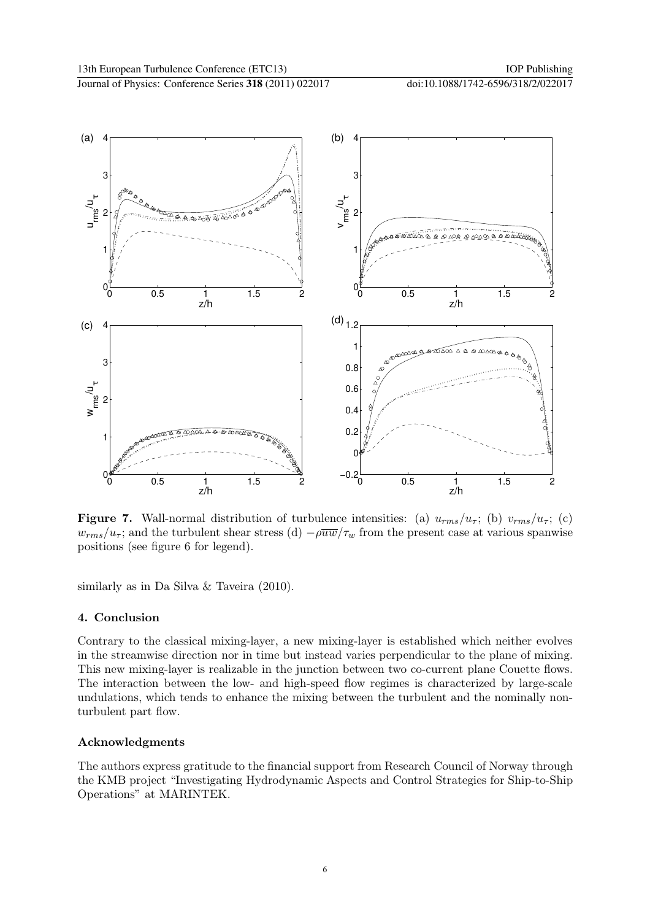Journal of Physics: Conference Series **318** (2011) 022017 doi:10.1088/1742-6596/318/2/022017



Figure 7. Wall-normal distribution of turbulence intensities: (a)  $u_{rms}/u_{\tau}$ ; (b)  $v_{rms}/u_{\tau}$ ; (c)  $w_{rms}/u_{\tau}$ ; and the turbulent shear stress (d)  $-\rho \overline{uw}/\tau_w$  from the present case at various spanwise positions (see figure 6 for legend).

similarly as in Da Silva & Taveira (2010).

## 4. Conclusion

Contrary to the classical mixing-layer, a new mixing-layer is established which neither evolves in the streamwise direction nor in time but instead varies perpendicular to the plane of mixing. This new mixing-layer is realizable in the junction between two co-current plane Couette flows. The interaction between the low- and high-speed flow regimes is characterized by large-scale undulations, which tends to enhance the mixing between the turbulent and the nominally nonturbulent part flow.

## Acknowledgments

The authors express gratitude to the financial support from Research Council of Norway through the KMB project "Investigating Hydrodynamic Aspects and Control Strategies for Ship-to-Ship Operations" at MARINTEK.